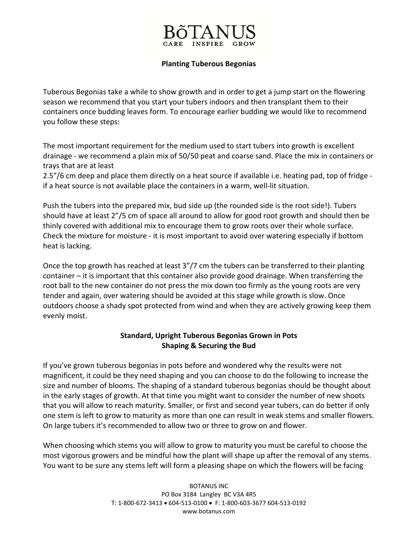#### **Planting Tuberous Begonias**

Tuberous Begonias take a while to show growth and in order to get a jump start on the flowering season we recommend that you start your tubers indoors and then transplant them to their containers once budding leaves form. To encourage earlier budding we would like to recommend you follow these steps:

The most important requirement for the medium used to start tubers into growth is excellent drainage ‐ we recommend a plain mix of 50/50 peat and coarse sand. Place the mix in containers or trays that are at least

2.5"/6 cm deep and place them directly on a heat source if available i.e. heating pad, top of fridge ‐ if a heat source is not available place the containers in a warm, well‐lit situation.

Push the tubers into the prepared mix, bud side up (the rounded side is the root side!). Tubers should have at least 2"/5 cm of space all around to allow for good root growth and should then be thinly covered with additional mix to encourage them to grow roots over their whole surface. Check the mixture for moisture ‐ it is most important to avoid over watering especially if bottom heat is lacking.

Once the top growth has reached at least 3"/7 cm the tubers can be transferred to their planting container – it is important that this container also provide good drainage. When transferring the root ball to the new container do not press the mix down too firmly as the young roots are very tender and again, over watering should be avoided at this stage while growth is slow. Once outdoors choose a shady spot protected from wind and when they are actively growing keep them evenly moist.

## **Standard, Upright Tuberous Begonias Grown in Pots Shaping & Securing the Bud**

If you've grown tuberous begonias in pots before and wondered why the results were not magnificent, it could be they need shaping and you can choose to do the following to increase the size and number of blooms. The shaping of a standard tuberous begonias should be thought about in the early stages of growth. At that time you might want to consider the number of new shoots that you will allow to reach maturity. Smaller, or first and second year tubers, can do better if only one stem is left to grow to maturity as more than one can result in weak stems and smaller flowers. On large tubers it's recommended to allow two or three to grow on and flower.

When choosing which stems you will allow to grow to maturity you must be careful to choose the most vigorous growers and be mindful how the plant will shape up after the removal of any stems. You want to be sure any stems left will form a pleasing shape on which the flowers will be facing

> BOTANUS INC PO Box 3184 Langley BC V3A 4R5 T: 1‐800‐672‐3413 • 604‐513‐0100 • F: 1‐800‐603‐3677 604‐513‐0192 www.botanus.com